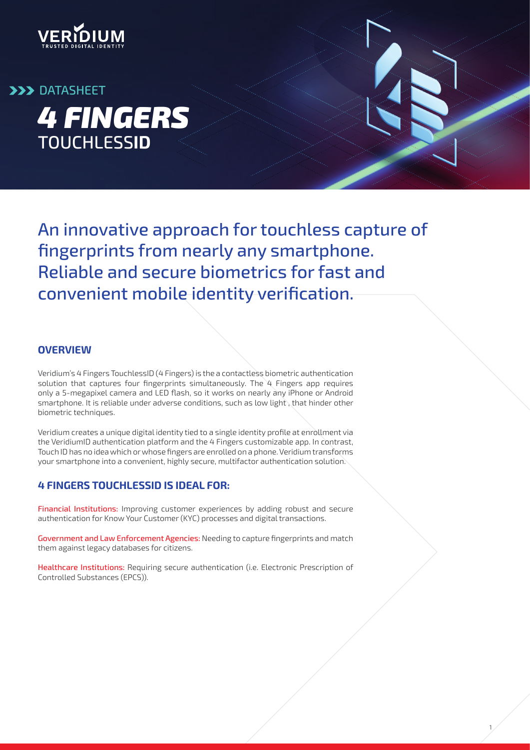

*4 FINGERS* TOUCHLESS**ID DATASHEET** 

> An innovative approach for touchless capture of fingerprints from nearly any smartphone. Reliable and secure biometrics for fast and convenient mobile identity verification.

#### **OVERVIEW**

Veridium's 4 Fingers TouchlessID (4 Fingers) is the a contactless biometric authentication solution that captures four fingerprints simultaneously. The  $4$  Fingers app requires only a 5-megapixel camera and LED flash, so it works on nearly any iPhone or Android smartphone. It is reliable under adverse conditions, such as low light , that hinder other biometric techniques.

Veridium creates a unique digital identity tied to a single identity profile at enrollment via the VeridiumID authentication platform and the 4 Fingers customizable app. In contrast, Touch ID has no idea which or whose fingers are enrolled on a phone. Veridium transforms your smartphone into a convenient, highly secure, multifactor authentication solution.

### **4 FINGERS TOUCHLESSID IS IDEAL FOR:**

Financial Institutions: Improving customer experiences by adding robust and secure authentication for Know Your Customer (KYC) processes and digital transactions.

Government and Law Enforcement Agencies: Needing to capture fingerprints and match them against legacy databases for citizens.

Healthcare Institutions: Requiring secure authentication (i.e. Electronic Prescription of Controlled Substances (EPCS)).

1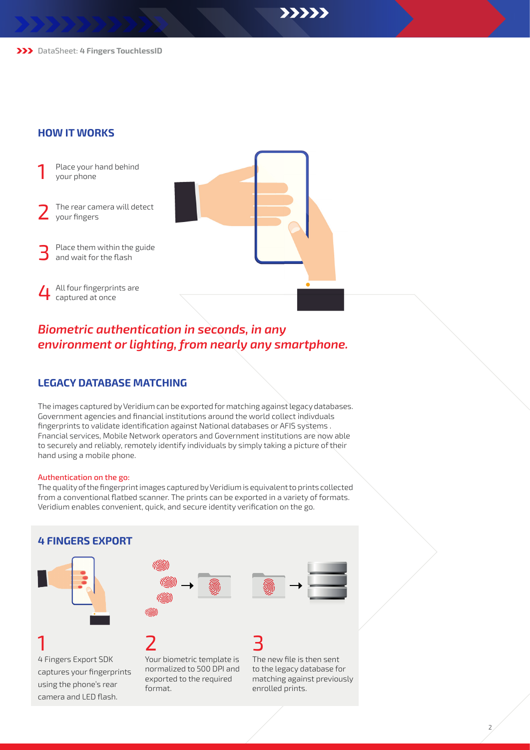>>>>>

DataSheet: **4 Fingers TouchlessID**

#### **HOW IT WORKS**

- Place your hand behind<br>your phone
- The rear camera will detect<br>your fingers
- Place them within the guide<br>and wait for the flash

4 All four fingerprints are<br>captured at once

# *Biometric authentication in seconds, in any environment or lighting, from nearly any smartphone.*

### **LEGACY DATABASE MATCHING**

The images captured by Veridium can be exported for matching against legacy databases. Government agencies and financial institutions around the world collect indivduals fingerprints to validate identification against National databases or AFIS systems . Fnancial services, Mobile Network operators and Government institutions are now able to securely and reliably, remotely identify individuals by simply taking a picture of their hand using a mobile phone.

#### Authentication on the go:

camera and LED flash.

The quality of the fingerprint images captured by Veridium is equivalent to prints collected from a conventional flatbed scanner. The prints can be exported in a variety of formats. Veridium enables convenient, quick, and secure identity verification on the go.